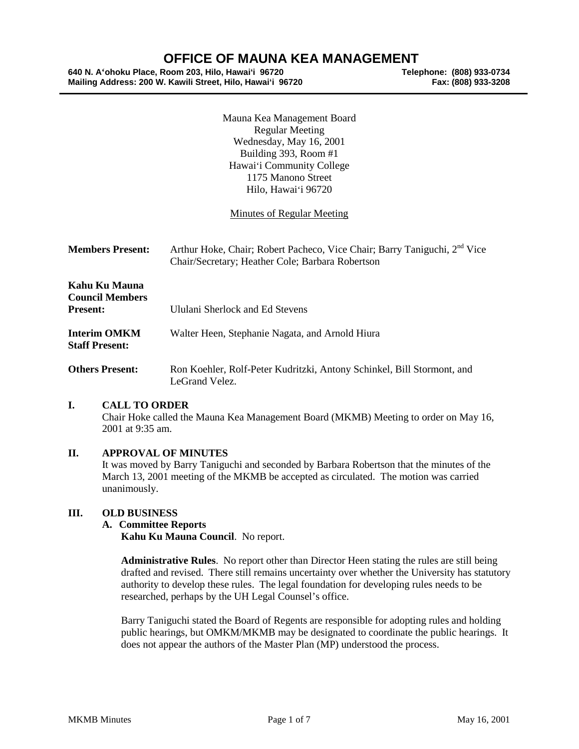# **OFFICE OF MAUNA KEA MANAGEMENT**<br>Room 203, Hilo, Hawai'i 96720<br>Telephone: (808) 933-0734

**640 N. A'ohoku Place, Room 203, Hilo, Hawai'i 96720 Telephone: (808) 933-0734 Mailing Address: 200 W. Kawili Street, Hilo, Hawai'i 96720 Fax: (808) 933-3208**

Mauna Kea Management Board Regular Meeting Wednesday, May 16, 2001 Building 393, Room #1 Hawai'i Community College 1175 Manono Street Hilo, Hawai'i 96720

# Minutes of Regular Meeting

| <b>Members Present:</b>                                    | Arthur Hoke, Chair; Robert Pacheco, Vice Chair; Barry Taniguchi, 2 <sup>nd</sup> Vice<br>Chair/Secretary; Heather Cole; Barbara Robertson |
|------------------------------------------------------------|-------------------------------------------------------------------------------------------------------------------------------------------|
| Kahu Ku Mauna<br><b>Council Members</b><br><b>Present:</b> | Ululani Sherlock and Ed Stevens                                                                                                           |
| <b>Interim OMKM</b><br><b>Staff Present:</b>               | Walter Heen, Stephanie Nagata, and Arnold Hiura                                                                                           |
| <b>Others Present:</b>                                     | Ron Koehler, Rolf-Peter Kudritzki, Antony Schinkel, Bill Stormont, and<br>LeGrand Velez.                                                  |

## **I. CALL TO ORDER**

Chair Hoke called the Mauna Kea Management Board (MKMB) Meeting to order on May 16, 2001 at 9:35 am.

## **II. APPROVAL OF MINUTES**

It was moved by Barry Taniguchi and seconded by Barbara Robertson that the minutes of the March 13, 2001 meeting of the MKMB be accepted as circulated. The motion was carried unanimously.

## **III. OLD BUSINESS**

#### **A. Committee Reports**

**Kahu Ku Mauna Council**. No report.

**Administrative Rules**. No report other than Director Heen stating the rules are still being drafted and revised. There still remains uncertainty over whether the University has statutory authority to develop these rules. The legal foundation for developing rules needs to be researched, perhaps by the UH Legal Counsel's office.

Barry Taniguchi stated the Board of Regents are responsible for adopting rules and holding public hearings, but OMKM/MKMB may be designated to coordinate the public hearings. It does not appear the authors of the Master Plan (MP) understood the process.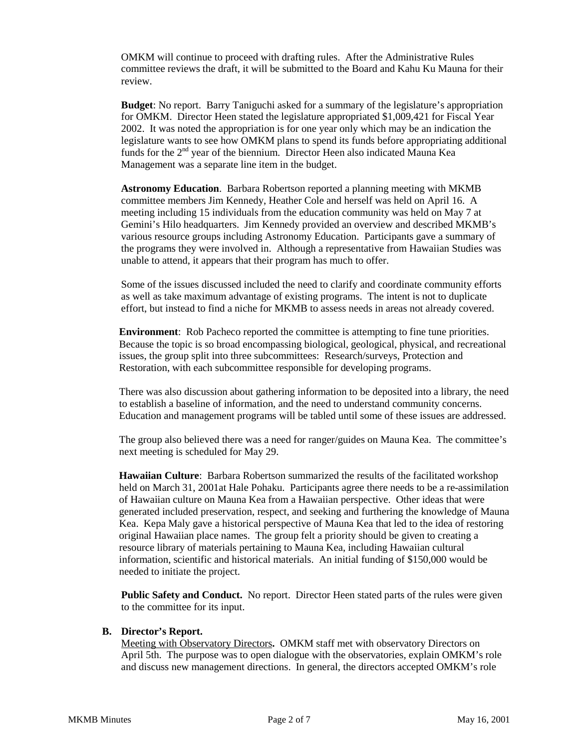OMKM will continue to proceed with drafting rules. After the Administrative Rules committee reviews the draft, it will be submitted to the Board and Kahu Ku Mauna for their review.

**Budget**: No report. Barry Taniguchi asked for a summary of the legislature's appropriation for OMKM. Director Heen stated the legislature appropriated \$1,009,421 for Fiscal Year 2002. It was noted the appropriation is for one year only which may be an indication the legislature wants to see how OMKM plans to spend its funds before appropriating additional funds for the  $2<sup>nd</sup>$  year of the biennium. Director Heen also indicated Mauna Kea Management was a separate line item in the budget.

**Astronomy Education**. Barbara Robertson reported a planning meeting with MKMB committee members Jim Kennedy, Heather Cole and herself was held on April 16. A meeting including 15 individuals from the education community was held on May 7 at Gemini's Hilo headquarters. Jim Kennedy provided an overview and described MKMB's various resource groups including Astronomy Education. Participants gave a summary of the programs they were involved in. Although a representative from Hawaiian Studies was unable to attend, it appears that their program has much to offer.

Some of the issues discussed included the need to clarify and coordinate community efforts as well as take maximum advantage of existing programs. The intent is not to duplicate effort, but instead to find a niche for MKMB to assess needs in areas not already covered.

**Environment**: Rob Pacheco reported the committee is attempting to fine tune priorities. Because the topic is so broad encompassing biological, geological, physical, and recreational issues, the group split into three subcommittees: Research/surveys, Protection and Restoration, with each subcommittee responsible for developing programs.

There was also discussion about gathering information to be deposited into a library, the need to establish a baseline of information, and the need to understand community concerns. Education and management programs will be tabled until some of these issues are addressed.

The group also believed there was a need for ranger/guides on Mauna Kea. The committee's next meeting is scheduled for May 29.

**Hawaiian Culture**: Barbara Robertson summarized the results of the facilitated workshop held on March 31, 2001at Hale Pohaku. Participants agree there needs to be a re-assimilation of Hawaiian culture on Mauna Kea from a Hawaiian perspective. Other ideas that were generated included preservation, respect, and seeking and furthering the knowledge of Mauna Kea. Kepa Maly gave a historical perspective of Mauna Kea that led to the idea of restoring original Hawaiian place names. The group felt a priority should be given to creating a resource library of materials pertaining to Mauna Kea, including Hawaiian cultural information, scientific and historical materials. An initial funding of \$150,000 would be needed to initiate the project.

**Public Safety and Conduct.** No report. Director Heen stated parts of the rules were given to the committee for its input.

#### **B. Director's Report.**

Meeting with Observatory Directors**.** OMKM staff met with observatory Directors on April 5th. The purpose was to open dialogue with the observatories, explain OMKM's role and discuss new management directions. In general, the directors accepted OMKM's role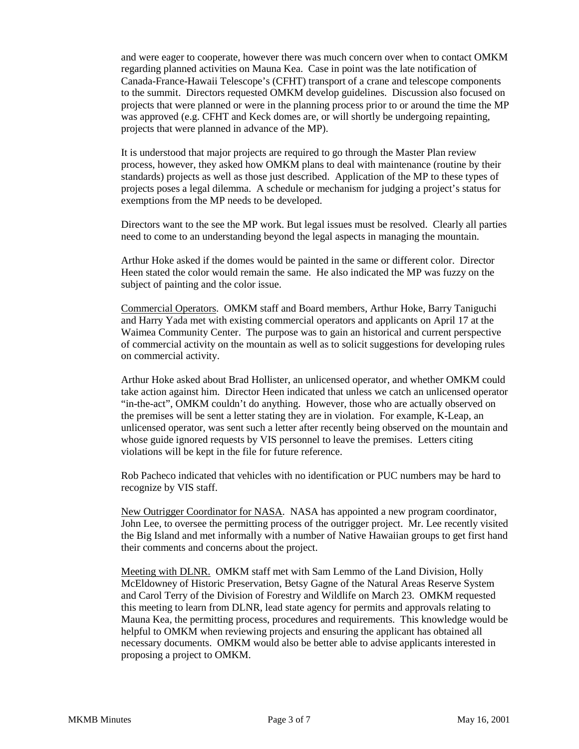and were eager to cooperate, however there was much concern over when to contact OMKM regarding planned activities on Mauna Kea. Case in point was the late notification of Canada-France-Hawaii Telescope's (CFHT) transport of a crane and telescope components to the summit. Directors requested OMKM develop guidelines. Discussion also focused on projects that were planned or were in the planning process prior to or around the time the MP was approved (e.g. CFHT and Keck domes are, or will shortly be undergoing repainting, projects that were planned in advance of the MP).

It is understood that major projects are required to go through the Master Plan review process, however, they asked how OMKM plans to deal with maintenance (routine by their standards) projects as well as those just described. Application of the MP to these types of projects poses a legal dilemma. A schedule or mechanism for judging a project's status for exemptions from the MP needs to be developed.

Directors want to the see the MP work. But legal issues must be resolved. Clearly all parties need to come to an understanding beyond the legal aspects in managing the mountain.

Arthur Hoke asked if the domes would be painted in the same or different color. Director Heen stated the color would remain the same. He also indicated the MP was fuzzy on the subject of painting and the color issue.

Commercial Operators. OMKM staff and Board members, Arthur Hoke, Barry Taniguchi and Harry Yada met with existing commercial operators and applicants on April 17 at the Waimea Community Center. The purpose was to gain an historical and current perspective of commercial activity on the mountain as well as to solicit suggestions for developing rules on commercial activity.

Arthur Hoke asked about Brad Hollister, an unlicensed operator, and whether OMKM could take action against him. Director Heen indicated that unless we catch an unlicensed operator "in-the-act", OMKM couldn't do anything. However, those who are actually observed on the premises will be sent a letter stating they are in violation. For example, K-Leap, an unlicensed operator, was sent such a letter after recently being observed on the mountain and whose guide ignored requests by VIS personnel to leave the premises. Letters citing violations will be kept in the file for future reference.

Rob Pacheco indicated that vehicles with no identification or PUC numbers may be hard to recognize by VIS staff.

New Outrigger Coordinator for NASA. NASA has appointed a new program coordinator, John Lee, to oversee the permitting process of the outrigger project. Mr. Lee recently visited the Big Island and met informally with a number of Native Hawaiian groups to get first hand their comments and concerns about the project.

Meeting with DLNR. OMKM staff met with Sam Lemmo of the Land Division, Holly McEldowney of Historic Preservation, Betsy Gagne of the Natural Areas Reserve System and Carol Terry of the Division of Forestry and Wildlife on March 23. OMKM requested this meeting to learn from DLNR, lead state agency for permits and approvals relating to Mauna Kea, the permitting process, procedures and requirements. This knowledge would be helpful to OMKM when reviewing projects and ensuring the applicant has obtained all necessary documents. OMKM would also be better able to advise applicants interested in proposing a project to OMKM.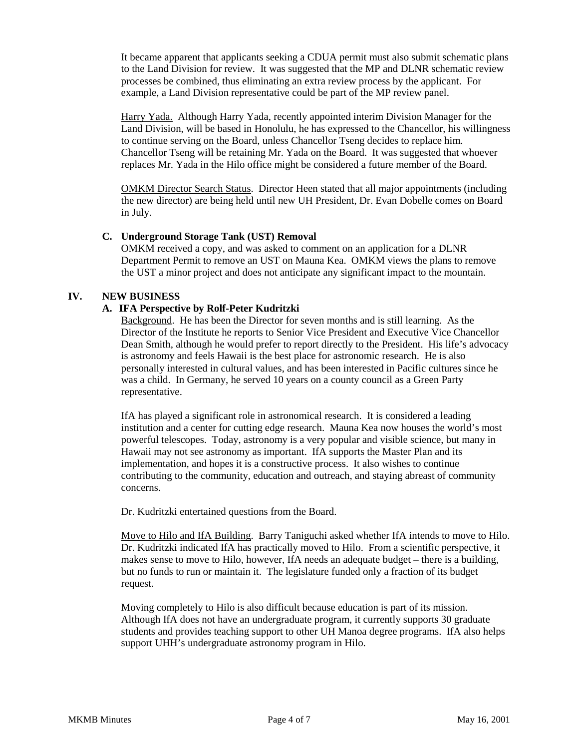It became apparent that applicants seeking a CDUA permit must also submit schematic plans to the Land Division for review. It was suggested that the MP and DLNR schematic review processes be combined, thus eliminating an extra review process by the applicant. For example, a Land Division representative could be part of the MP review panel.

Harry Yada. Although Harry Yada, recently appointed interim Division Manager for the Land Division, will be based in Honolulu, he has expressed to the Chancellor, his willingness to continue serving on the Board, unless Chancellor Tseng decides to replace him. Chancellor Tseng will be retaining Mr. Yada on the Board. It was suggested that whoever replaces Mr. Yada in the Hilo office might be considered a future member of the Board.

OMKM Director Search Status. Director Heen stated that all major appointments (including the new director) are being held until new UH President, Dr. Evan Dobelle comes on Board in July.

## **C. Underground Storage Tank (UST) Removal**

OMKM received a copy, and was asked to comment on an application for a DLNR Department Permit to remove an UST on Mauna Kea. OMKM views the plans to remove the UST a minor project and does not anticipate any significant impact to the mountain.

# **IV. NEW BUSINESS**

# **A. IFA Perspective by Rolf-Peter Kudritzki**

Background. He has been the Director for seven months and is still learning. As the Director of the Institute he reports to Senior Vice President and Executive Vice Chancellor Dean Smith, although he would prefer to report directly to the President. His life's advocacy is astronomy and feels Hawaii is the best place for astronomic research. He is also personally interested in cultural values, and has been interested in Pacific cultures since he was a child. In Germany, he served 10 years on a county council as a Green Party representative.

IfA has played a significant role in astronomical research. It is considered a leading institution and a center for cutting edge research. Mauna Kea now houses the world's most powerful telescopes. Today, astronomy is a very popular and visible science, but many in Hawaii may not see astronomy as important. IfA supports the Master Plan and its implementation, and hopes it is a constructive process. It also wishes to continue contributing to the community, education and outreach, and staying abreast of community concerns.

Dr. Kudritzki entertained questions from the Board.

Move to Hilo and IfA Building. Barry Taniguchi asked whether IfA intends to move to Hilo. Dr. Kudritzki indicated IfA has practically moved to Hilo. From a scientific perspective, it makes sense to move to Hilo, however, IfA needs an adequate budget – there is a building, but no funds to run or maintain it. The legislature funded only a fraction of its budget request.

Moving completely to Hilo is also difficult because education is part of its mission. Although IfA does not have an undergraduate program, it currently supports 30 graduate students and provides teaching support to other UH Manoa degree programs. IfA also helps support UHH's undergraduate astronomy program in Hilo.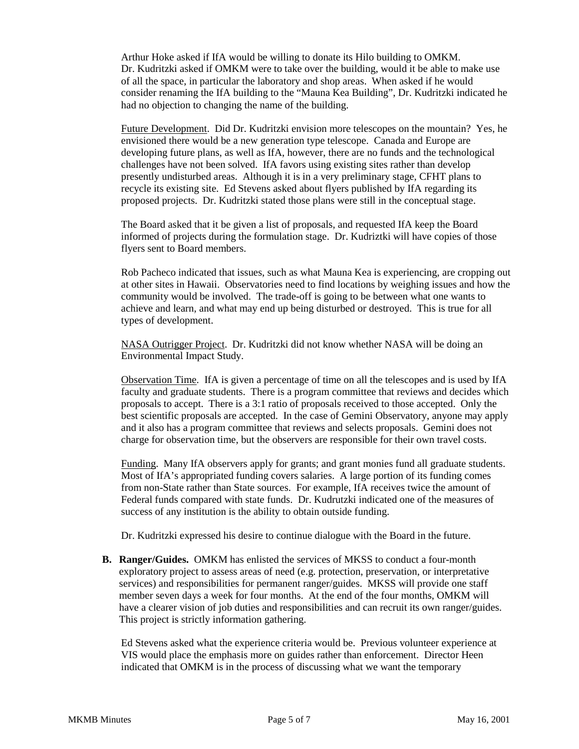Arthur Hoke asked if IfA would be willing to donate its Hilo building to OMKM. Dr. Kudritzki asked if OMKM were to take over the building, would it be able to make use of all the space, in particular the laboratory and shop areas. When asked if he would consider renaming the IfA building to the "Mauna Kea Building", Dr. Kudritzki indicated he had no objection to changing the name of the building.

Future Development. Did Dr. Kudritzki envision more telescopes on the mountain? Yes, he envisioned there would be a new generation type telescope. Canada and Europe are developing future plans, as well as IfA, however, there are no funds and the technological challenges have not been solved. IfA favors using existing sites rather than develop presently undisturbed areas. Although it is in a very preliminary stage, CFHT plans to recycle its existing site. Ed Stevens asked about flyers published by IfA regarding its proposed projects. Dr. Kudritzki stated those plans were still in the conceptual stage.

The Board asked that it be given a list of proposals, and requested IfA keep the Board informed of projects during the formulation stage. Dr. Kudriztki will have copies of those flyers sent to Board members.

Rob Pacheco indicated that issues, such as what Mauna Kea is experiencing, are cropping out at other sites in Hawaii. Observatories need to find locations by weighing issues and how the community would be involved. The trade-off is going to be between what one wants to achieve and learn, and what may end up being disturbed or destroyed. This is true for all types of development.

NASA Outrigger Project. Dr. Kudritzki did not know whether NASA will be doing an Environmental Impact Study.

Observation Time. IfA is given a percentage of time on all the telescopes and is used by IfA faculty and graduate students. There is a program committee that reviews and decides which proposals to accept. There is a 3:1 ratio of proposals received to those accepted. Only the best scientific proposals are accepted. In the case of Gemini Observatory, anyone may apply and it also has a program committee that reviews and selects proposals. Gemini does not charge for observation time, but the observers are responsible for their own travel costs.

Funding. Many IfA observers apply for grants; and grant monies fund all graduate students. Most of IfA's appropriated funding covers salaries. A large portion of its funding comes from non-State rather than State sources. For example, IfA receives twice the amount of Federal funds compared with state funds. Dr. Kudrutzki indicated one of the measures of success of any institution is the ability to obtain outside funding.

Dr. Kudritzki expressed his desire to continue dialogue with the Board in the future.

**B. Ranger/Guides.** OMKM has enlisted the services of MKSS to conduct a four-month exploratory project to assess areas of need (e.g. protection, preservation, or interpretative services) and responsibilities for permanent ranger/guides. MKSS will provide one staff member seven days a week for four months. At the end of the four months, OMKM will have a clearer vision of job duties and responsibilities and can recruit its own ranger/guides. This project is strictly information gathering.

Ed Stevens asked what the experience criteria would be. Previous volunteer experience at VIS would place the emphasis more on guides rather than enforcement. Director Heen indicated that OMKM is in the process of discussing what we want the temporary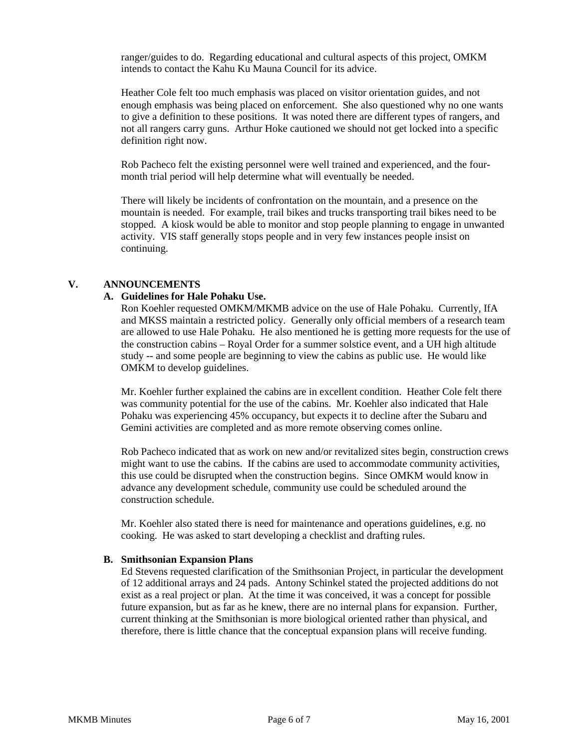ranger/guides to do. Regarding educational and cultural aspects of this project, OMKM intends to contact the Kahu Ku Mauna Council for its advice.

Heather Cole felt too much emphasis was placed on visitor orientation guides, and not enough emphasis was being placed on enforcement. She also questioned why no one wants to give a definition to these positions. It was noted there are different types of rangers, and not all rangers carry guns. Arthur Hoke cautioned we should not get locked into a specific definition right now.

Rob Pacheco felt the existing personnel were well trained and experienced, and the fourmonth trial period will help determine what will eventually be needed.

There will likely be incidents of confrontation on the mountain, and a presence on the mountain is needed. For example, trail bikes and trucks transporting trail bikes need to be stopped. A kiosk would be able to monitor and stop people planning to engage in unwanted activity. VIS staff generally stops people and in very few instances people insist on continuing.

#### **V. ANNOUNCEMENTS**

#### **A. Guidelines for Hale Pohaku Use.**

Ron Koehler requested OMKM/MKMB advice on the use of Hale Pohaku. Currently, IfA and MKSS maintain a restricted policy. Generally only official members of a research team are allowed to use Hale Pohaku. He also mentioned he is getting more requests for the use of the construction cabins – Royal Order for a summer solstice event, and a UH high altitude study -- and some people are beginning to view the cabins as public use. He would like OMKM to develop guidelines.

Mr. Koehler further explained the cabins are in excellent condition. Heather Cole felt there was community potential for the use of the cabins. Mr. Koehler also indicated that Hale Pohaku was experiencing 45% occupancy, but expects it to decline after the Subaru and Gemini activities are completed and as more remote observing comes online.

Rob Pacheco indicated that as work on new and/or revitalized sites begin, construction crews might want to use the cabins. If the cabins are used to accommodate community activities, this use could be disrupted when the construction begins. Since OMKM would know in advance any development schedule, community use could be scheduled around the construction schedule.

Mr. Koehler also stated there is need for maintenance and operations guidelines, e.g. no cooking. He was asked to start developing a checklist and drafting rules.

#### **B. Smithsonian Expansion Plans**

Ed Stevens requested clarification of the Smithsonian Project, in particular the development of 12 additional arrays and 24 pads. Antony Schinkel stated the projected additions do not exist as a real project or plan. At the time it was conceived, it was a concept for possible future expansion, but as far as he knew, there are no internal plans for expansion. Further, current thinking at the Smithsonian is more biological oriented rather than physical, and therefore, there is little chance that the conceptual expansion plans will receive funding.